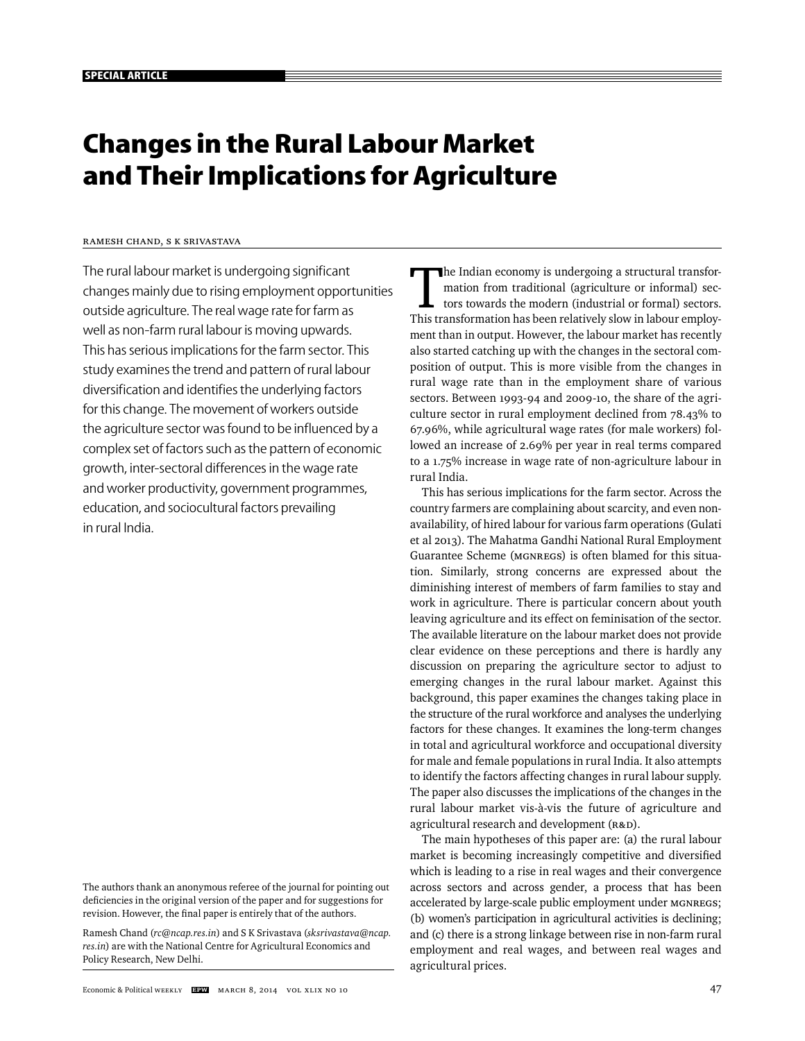# **Changes in the Rural Labour Market and Their Implications for Agriculture**

## Ramesh Chand, S K Srivastava

The rural labour market is undergoing significant changes mainly due to rising employment opportunities outside agriculture. The real wage rate for farm as well as non-farm rural labour is moving upwards. This has serious implications for the farm sector. This study examines the trend and pattern of rural labour diversification and identifies the underlying factors for this change. The movement of workers outside the agriculture sector was found to be influenced by a complex set of factors such as the pattern of economic growth, inter-sectoral differences in the wage rate and worker productivity, government programmes, education, and sociocultural factors prevailing in rural India.

The authors thank an anonymous referee of the journal for pointing out deficiencies in the original version of the paper and for suggestions for revision. However, the final paper is entirely that of the authors.

Ramesh Chand (*rc@ncap.res.in*) and S K Srivastava (*sksrivastava@ncap. res.in*) are with the National Centre for Agricultural Economics and Policy Research, New Delhi.

The Indian economy is undergoing a structural transfor-<br>
mation from traditional (agriculture or informal) sec-<br>
tors towards the modern (industrial or formal) sectors.<br>
This transformation has been relatively slow in labo mation from traditional (agriculture or informal) sec-This transformation has been relatively slow in labour employment than in output. However, the labour market has recently also started catching up with the changes in the sectoral composition of output. This is more visible from the changes in rural wage rate than in the employment share of various sectors. Between 1993-94 and 2009-10, the share of the agriculture sector in rural employment declined from 78.43% to 67.96%, while agricultural wage rates (for male workers) followed an increase of 2.69% per year in real terms compared to a 1.75% increase in wage rate of non-agriculture labour in rural India.

This has serious implications for the farm sector. Across the country farmers are complaining about scarcity, and even nonavailability, of hired labour for various farm operations (Gulati et al 2013). The Mahatma Gandhi National Rural Employment Guarantee Scheme (MGNREGS) is often blamed for this situation. Similarly, strong concerns are expressed about the diminishing interest of members of farm families to stay and work in agriculture. There is particular concern about youth leaving agriculture and its effect on feminisation of the sector. The available literature on the labour market does not provide clear evidence on these perceptions and there is hardly any discussion on preparing the agriculture sector to adjust to emerging changes in the rural labour market. Against this background, this paper examines the changes taking place in the structure of the rural workforce and analyses the underlying factors for these changes. It examines the long-term changes in total and agricultural workforce and occupational diversity for male and female populations in rural India. It also attempts to identify the factors affecting changes in rural labour supply. The paper also discusses the implications of the changes in the rural labour market vis-à-vis the future of agriculture and agricultural research and development (R&D).

The main hypotheses of this paper are: (a) the rural labour market is becoming increasingly competitive and diversified which is leading to a rise in real wages and their convergence across sectors and across gender, a process that has been accelerated by large-scale public employment under MGNREGS; (b) women's participation in agricultural activities is declining; and (c) there is a strong linkage between rise in non-farm rural employment and real wages, and between real wages and agricultural prices.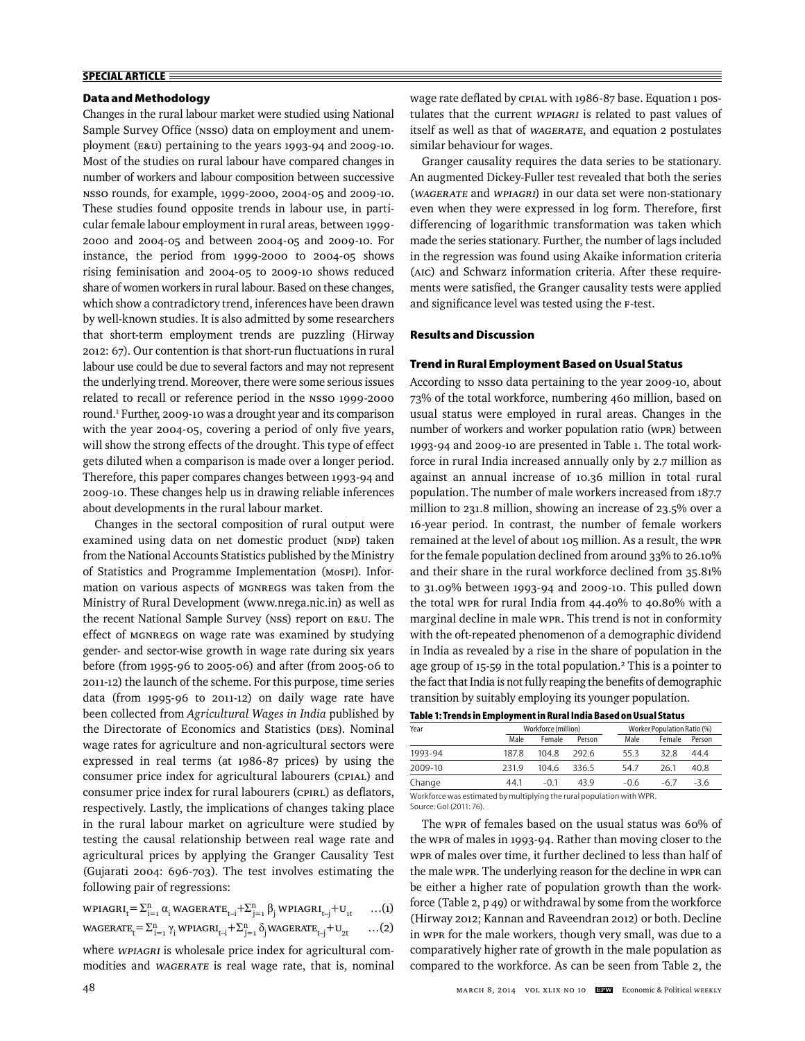## **SPECIAL ARTICLE**

## **Data and Methodology**

Changes in the rural labour market were studied using National Sample Survey Office (NSSO) data on employment and unemployment (E&U) pertaining to the years 1993-94 and 2009-10. Most of the studies on rural labour have compared changes in number of workers and labour composition between successive NSSO rounds, for example, 1999-2000, 2004-05 and 2009-10. These studies found opposite trends in labour use, in particular female labour employment in rural areas, between 1999- 2000 and 2004-05 and between 2004-05 and 2009-10. For instance, the period from 1999-2000 to 2004-05 shows rising feminisation and 2004-05 to 2009-10 shows reduced share of women workers in rural labour. Based on these changes, which show a contradictory trend, inferences have been drawn by well-known studies. It is also admitted by some researchers that short-term employment trends are puzzling (Hirway 2012: 67). Our contention is that short-run fluctuations in rural labour use could be due to several factors and may not represent the underlying trend. Moreover, there were some serious issues related to recall or reference period in the NSSO 1999-2000 round.1 Further, 2009-10 was a drought year and its comparison with the year 2004-05, covering a period of only five years, will show the strong effects of the drought. This type of effect gets diluted when a comparison is made over a longer period. Therefore, this paper compares changes between 1993-94 and 2009-10. These changes help us in drawing reliable inferences about developments in the rural labour market.

Changes in the sectoral composition of rural output were examined using data on net domestic product (NDP) taken from the National Accounts Statistics published by the Ministry of Statistics and Programme Implementation (MoSPI). Information on various aspects of MGNREGS was taken from the Ministry of Rural Development (www.nrega.nic.in) as well as the recent National Sample Survey (NSS) report on E&U. The effect of MGNREGS on wage rate was examined by studying gender- and sector-wise growth in wage rate during six years before (from 1995-96 to 2005-06) and after (from 2005-06 to 2011-12) the launch of the scheme. For this purpose, time series data (from 1995-96 to 2011-12) on daily wage rate have been collected from *Agricultural Wages in India* published by the Directorate of Economics and Statistics (DES). Nominal wage rates for agriculture and non-agricultural sectors were expressed in real terms (at 1986-87 prices) by using the consumer price index for agricultural labourers (CPIAL) and consumer price index for rural labourers (CPIRL) as deflators, respectively. Lastly, the implications of changes taking place in the rural labour market on agriculture were studied by testing the causal relationship between real wage rate and agricultural prices by applying the Granger Causality Test (Gujarati 2004: 696-703). The test involves estimating the following pair of regressions:

$$
\text{WPIAGRI}_{t} = \sum_{i=1}^{n} \alpha_i \text{WAGERATE}_{t-i} + \sum_{j=1}^{n} \beta_j \text{WPIAGRI}_{t-j} + U_{1t} \qquad \dots (1)
$$

$$
\text{WAGERATE}_{t} = \sum_{i=1}^{n} \gamma_i \text{ WPIAGRI}_{t-i} + \sum_{j=1}^{n} \delta_j \text{WAGERATE}_{t-j} + U_{2t} \qquad \dots (2)
$$

where WPIAGRI is wholesale price index for agricultural commodities and WAGERATE is real wage rate, that is, nominal wage rate deflated by CPIAL with 1986-87 base. Equation 1 postulates that the current WPIAGRI is related to past values of itself as well as that of WAGERATE, and equation 2 postulates similar behaviour for wages.

Granger causality requires the data series to be stationary. An augmented Dickey-Fuller test revealed that both the series (WAGERATE and WPIAGRI) in our data set were non-stationary even when they were expressed in log form. Therefore, first differencing of logarithmic transformation was taken which made the series stationary. Further, the number of lags included in the regression was found using Akaike information criteria (AIC) and Schwarz information criteria. After these requirements were satisfied, the Granger causality tests were applied and significance level was tested using the F-test.

### **Results and Discussion**

### **Trend in Rural Employment Based on Usual Status**

According to NSSO data pertaining to the year 2009-10, about 73% of the total workforce, numbering 460 million, based on usual status were employed in rural areas. Changes in the number of workers and worker population ratio (WPR) between 1993-94 and 2009-10 are presented in Table 1. The total workforce in rural India increased annually only by 2.7 million as against an annual increase of 10.36 million in total rural population. The number of male workers increased from 187.7 million to 231.8 million, showing an increase of 23.5% over a 16-year period. In contrast, the number of female workers remained at the level of about 105 million. As a result, the WPR for the female population declined from around 33% to 26.10% and their share in the rural workforce declined from 35.81% to 31.09% between 1993-94 and 2009-10. This pulled down the total WPR for rural India from 44.40% to 40.80% with a marginal decline in male WPR. This trend is not in conformity with the oft-repeated phenomenon of a demographic dividend in India as revealed by a rise in the share of population in the age group of 15-59 in the total population.<sup>2</sup> This is a pointer to the fact that India is not fully reaping the benefits of demographic transition by suitably employing its younger population.

|  | Table 1: Trends in Employment in Rural India Based on Usual Status |
|--|--------------------------------------------------------------------|
|--|--------------------------------------------------------------------|

| Year    |                                                                       | Workforce (million) |        |        | Worker Population Ratio (%) |        |  |  |  |  |
|---------|-----------------------------------------------------------------------|---------------------|--------|--------|-----------------------------|--------|--|--|--|--|
|         | Male                                                                  | Female              | Person | Male   | Female                      | Person |  |  |  |  |
| 1993-94 | 187.8                                                                 | 1048                | 292.6  | 55.3   | 32.8                        | 44.4   |  |  |  |  |
| 2009-10 | 2319                                                                  | 1046                | 336.5  | 54.7   | 26.1                        | 40.8   |  |  |  |  |
| Change  | 441                                                                   | $-0.1$              | 439    | $-0.6$ | -67                         | $-3.6$ |  |  |  |  |
|         | Workforce was estimated by multiplying the rural population with WPR. |                     |        |        |                             |        |  |  |  |  |

Source: GoI (2011: 76).

The WPR of females based on the usual status was 60% of the WPR of males in 1993-94. Rather than moving closer to the WPR of males over time, it further declined to less than half of the male WPR. The underlying reason for the decline in WPR can be either a higher rate of population growth than the workforce (Table 2, p 49) or withdrawal by some from the workforce (Hirway 2012; Kannan and Raveendran 2012) or both. Decline in WPR for the male workers, though very small, was due to a comparatively higher rate of growth in the male population as compared to the workforce. As can be seen from Table 2, the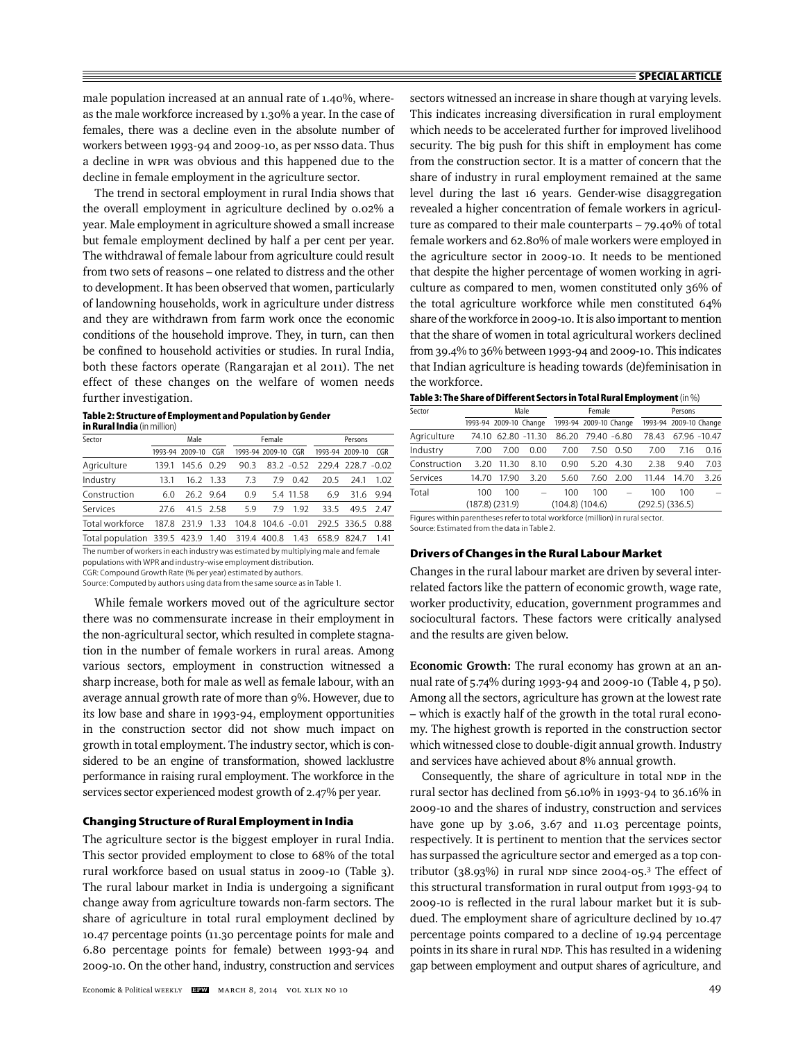male population increased at an annual rate of 1.40%, whereas the male workforce increased by 1.30% a year. In the case of females, there was a decline even in the absolute number of workers between 1993-94 and 2009-10, as per NSSO data. Thus a decline in WPR was obvious and this happened due to the decline in female employment in the agriculture sector.

The trend in sectoral employment in rural India shows that the overall employment in agriculture declined by 0.02% a year. Male employment in agriculture showed a small increase but female employment declined by half a per cent per year. The withdrawal of female labour from agriculture could result from two sets of reasons – one related to distress and the other to development. It has been observed that women, particularly of landowning households, work in agriculture under distress and they are withdrawn from farm work once the economic conditions of the household improve. They, in turn, can then be confined to household activities or studies. In rural India, both these factors operate (Rangarajan et al 2011). The net effect of these changes on the welfare of women needs further investigation.

| Table 2: Structure of Employment and Population by Gender |  |
|-----------------------------------------------------------|--|
| <b>in Rural India</b> (in million)                        |  |

|       | Male |             |                                                                      | Female |                                                        |                                                | Persons       |                                                     |
|-------|------|-------------|----------------------------------------------------------------------|--------|--------------------------------------------------------|------------------------------------------------|---------------|-----------------------------------------------------|
|       |      | CGR         |                                                                      |        | CGR                                                    |                                                |               | CGR                                                 |
| 139.1 |      |             | 90.3                                                                 |        |                                                        |                                                |               |                                                     |
| 131   |      |             | 7.3                                                                  | 79     | 0.42                                                   | 20.5                                           | 241           | 1.02                                                |
| 6.0   |      |             | 0.9                                                                  |        |                                                        | 6.9                                            | 31.6          | 9.94                                                |
| 27.6  |      |             | 5.9                                                                  | 79     | 1.92                                                   | 33.5                                           | 49.5          | 247                                                 |
|       |      | 1.33        |                                                                      |        |                                                        |                                                |               | 0.88                                                |
|       |      |             |                                                                      |        | 1.43                                                   | 658.9                                          | 824.7         | 141                                                 |
|       |      | 187.8 231.9 | 1993-94 2009-10<br>145.6 0.29<br>16.2 1.33<br>26.2 9.64<br>41.5 2.58 |        | 104.8<br>Total population 339.5 423.9 1.40 319.4 400.8 | 1993-94 2009-10<br>5.4 11.58<br>$104.6 - 0.01$ | $83.2 - 0.52$ | 1993-94 2009-10<br>229.4 228.7 -0.02<br>292.5 336.5 |

The number of workers in each industry was estimated by multiplying male and female

populations with WPR and industry-wise employment distribution.

CGR: Compound Growth Rate (% per year) estimated by authors. Source: Computed by authors using data from the same source as in Table 1.

While female workers moved out of the agriculture sector there was no commensurate increase in their employment in the non-agricultural sector, which resulted in complete stagnation in the number of female workers in rural areas. Among various sectors, employment in construction witnessed a sharp increase, both for male as well as female labour, with an average annual growth rate of more than 9%. However, due to its low base and share in 1993-94, employment opportunities in the construction sector did not show much impact on growth in total employment. The industry sector, which is considered to be an engine of transformation, showed lacklustre performance in raising rural employment. The workforce in the services sector experienced modest growth of 2.47% per year.

### **Changing Structure of Rural Employment in India**

The agriculture sector is the biggest employer in rural India. This sector provided employment to close to 68% of the total rural workforce based on usual status in 2009-10 (Table 3). The rural labour market in India is undergoing a significant change away from agriculture towards non-farm sectors. The share of agriculture in total rural employment declined by 10.47 percentage points (11.30 percentage points for male and 6.80 percentage points for female) between 1993-94 and 2009-10. On the other hand, industry, construction and services sectors witnessed an increase in share though at varying levels. This indicates increasing diversification in rural employment which needs to be accelerated further for improved livelihood security. The big push for this shift in employment has come from the construction sector. It is a matter of concern that the share of industry in rural employment remained at the same level during the last 16 years. Gender-wise disaggregation revealed a higher concentration of female workers in agriculture as compared to their male counterparts – 79.40% of total female workers and 62.80% of male workers were employed in the agriculture sector in 2009-10. It needs to be mentioned that despite the higher percentage of women working in agriculture as compared to men, women constituted only 36% of the total agriculture workforce while men constituted 64% share of the workforce in 2009-10. It is also important to mention that the share of women in total agricultural workers declined from 39.4% to 36% between 1993-94 and 2009-10. This indicates that Indian agriculture is heading towards (de)feminisation in the workforce.

| Sector                                                                         |       |                        |              |       | Female                 |                          |       | Persons                |              |  |
|--------------------------------------------------------------------------------|-------|------------------------|--------------|-------|------------------------|--------------------------|-------|------------------------|--------------|--|
|                                                                                |       | 1993-94 2009-10 Change |              |       | 1993-94 2009-10 Change |                          |       | 1993-94 2009-10 Change |              |  |
| Agriculture                                                                    | 74.10 |                        | 62.80 -11.30 | 86.20 | 79.40 -6.80            |                          | 78.43 |                        | 67.96 -10.47 |  |
| Industry                                                                       | 7.00  | 7.00                   | 0.00         | 7.00  | 7.50                   | 0.50                     | 7.00  | 7.16                   | 0.16         |  |
| Construction                                                                   | 3.20  | 11.30                  | 8.10         | 0.90  | 5.20                   | 4.30                     | 2.38  | 9.40                   | 7.03         |  |
| Services                                                                       | 14.70 | 17.90                  | 3.20         | 5.60  | 7.60                   | 2.00                     | 11.44 | 14.70                  | 3.26         |  |
| Total                                                                          | 100   | 100                    | -            | 100   | 100                    | $\overline{\phantom{0}}$ | 100   | 100                    |              |  |
| $(187.8)$ $(231.9)$<br>$(104.8)$ $(104.6)$                                     |       |                        |              |       | $(292.5)$ $(336.5)$    |                          |       |                        |              |  |
| Figures within parentheses refer to total workforce (million) in rural sector. |       |                        |              |       |                        |                          |       |                        |              |  |

| Table 3: The Share of Different Sectors in Total Rural Employment (in $\%$ ) |  |  |
|------------------------------------------------------------------------------|--|--|
|                                                                              |  |  |

Source: Estimated from the data in Table 2.

#### **Drivers of Changes in the Rural Labour Market**

Changes in the rural labour market are driven by several interrelated factors like the pattern of economic growth, wage rate, worker productivity, education, government programmes and sociocultural factors. These factors were critically analysed and the results are given below.

**Economic Growth:** The rural economy has grown at an annual rate of 5.74% during 1993-94 and 2009-10 (Table 4, p 50). Among all the sectors, agriculture has grown at the lowest rate – which is exactly half of the growth in the total rural economy. The highest growth is reported in the construction sector which witnessed close to double-digit annual growth. Industry and services have achieved about 8% annual growth.

Consequently, the share of agriculture in total NDP in the rural sector has declined from 56.10% in 1993-94 to 36.16% in 2009-10 and the shares of industry, construction and services have gone up by 3.06, 3.67 and 11.03 percentage points, respectively. It is pertinent to mention that the services sector has surpassed the agriculture sector and emerged as a top contributor  $(38.93%)$  in rural NDP since 2004-05.<sup>3</sup> The effect of this structural transformation in rural output from 1993-94 to 2009-10 is reflected in the rural labour market but it is subdued. The employment share of agriculture declined by 10.47 percentage points compared to a decline of 19.94 percentage points in its share in rural NDP. This has resulted in a widening gap between employment and output shares of agriculture, and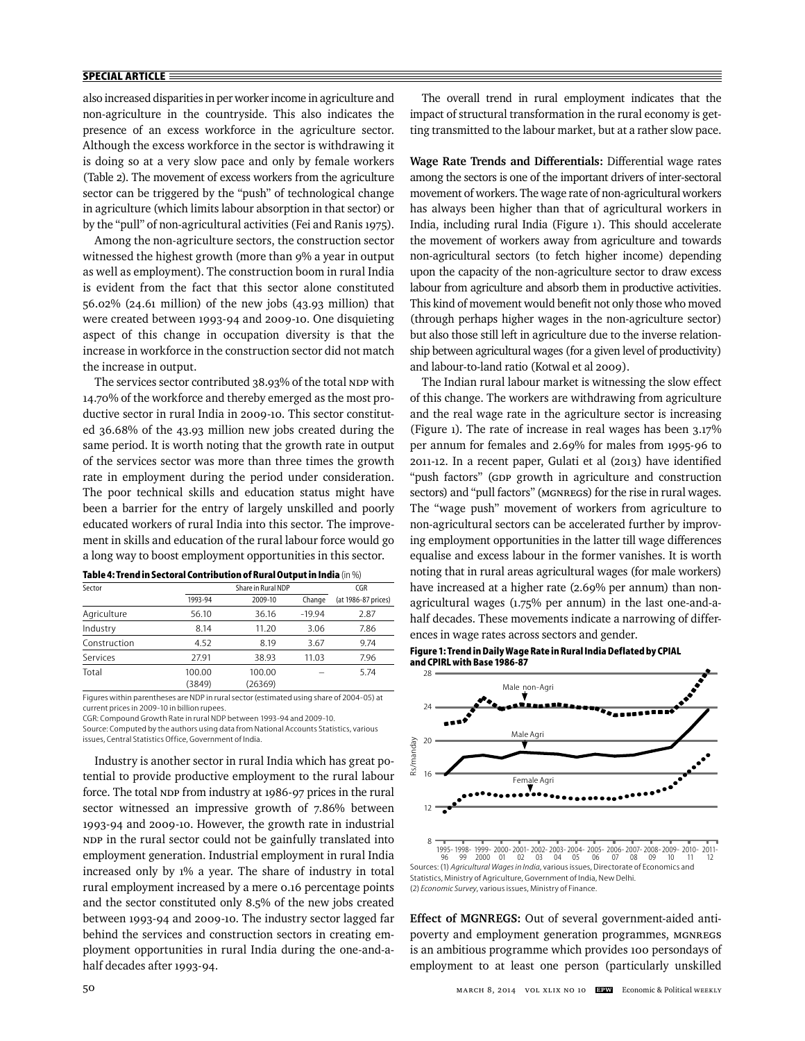## **SPECIAL ARTICLE**

also increased disparities in per worker income in agriculture and non-agriculture in the countryside. This also indicates the presence of an excess workforce in the agriculture sector. Although the excess workforce in the sector is withdrawing it is doing so at a very slow pace and only by female workers (Table 2). The movement of excess workers from the agriculture sector can be triggered by the "push" of technological change in agriculture (which limits labour absorption in that sector) or by the "pull" of non-agricultural activities (Fei and Ranis 1975).

Among the non-agriculture sectors, the construction sector witnessed the highest growth (more than 9% a year in output as well as employment). The construction boom in rural India is evident from the fact that this sector alone constituted 56.02% (24.61 million) of the new jobs (43.93 million) that were created between 1993-94 and 2009-10. One disquieting aspect of this change in occupation diversity is that the increase in workforce in the construction sector did not match the increase in output.

The services sector contributed 38.93% of the total NDP with 14.70% of the workforce and thereby emerged as the most productive sector in rural India in 2009-10. This sector constituted 36.68% of the 43.93 million new jobs created during the same period. It is worth noting that the growth rate in output of the services sector was more than three times the growth rate in employment during the period under consideration. The poor technical skills and education status might have been a barrier for the entry of largely unskilled and poorly educated workers of rural India into this sector. The improvement in skills and education of the rural labour force would go a long way to boost employment opportunities in this sector.

| Sector       |         | Share in Rural NDP |          |                     |  |  |  |
|--------------|---------|--------------------|----------|---------------------|--|--|--|
|              | 1993-94 | 2009-10            | Change   | (at 1986-87 prices) |  |  |  |
| Agriculture  | 56.10   | 36.16              | $-19.94$ | 2.87                |  |  |  |
| Industry     | 8.14    | 11.20              | 3.06     | 7.86                |  |  |  |
| Construction | 4.52    | 8.19               | 3.67     | 9.74                |  |  |  |
| Services     | 27.91   | 38.93              | 11.03    | 7.96                |  |  |  |
| Total        | 100.00  | 100.00             |          | 5.74                |  |  |  |
|              | (3849)  | (26369)            |          |                     |  |  |  |

| Table 4: Trend in Sectoral Contribution of Rural Output in India (in %) |  |  |
|-------------------------------------------------------------------------|--|--|
|-------------------------------------------------------------------------|--|--|

Figures within parentheses are NDP in rural sector (estimated using share of 2004-05) at current prices in 2009-10 in billion rupees.

CGR: Compound Growth Rate in rural NDP between 1993-94 and 2009-10.

Source: Computed by the authors using data from National Accounts Statistics, various issues, Central Statistics Office, Government of India.

Industry is another sector in rural India which has great potential to provide productive employment to the rural labour force. The total NDP from industry at 1986-97 prices in the rural sector witnessed an impressive growth of 7.86% between 1993-94 and 2009-10. However, the growth rate in industrial NDP in the rural sector could not be gainfully translated into employment generation. Industrial employment in rural India increased only by 1% a year. The share of industry in total rural employment increased by a mere 0.16 percentage points and the sector constituted only 8.5% of the new jobs created between 1993-94 and 2009-10. The industry sector lagged far behind the services and construction sectors in creating employment opportunities in rural India during the one-and-ahalf decades after 1993-94.

The overall trend in rural employment indicates that the impact of structural transformation in the rural economy is getting transmitted to the labour market, but at a rather slow pace.

**Wage Rate Trends and Differentials:** Differential wage rates among the sectors is one of the important drivers of inter-sectoral movement of workers. The wage rate of non-agricultural workers has always been higher than that of agricultural workers in India, including rural India (Figure 1). This should accelerate the movement of workers away from agriculture and towards non-agricultural sectors (to fetch higher income) depending upon the capacity of the non-agriculture sector to draw excess labour from agriculture and absorb them in productive activities. This kind of movement would benefit not only those who moved (through perhaps higher wages in the non-agriculture sector) but also those still left in agriculture due to the inverse relationship between agricultural wages (for a given level of productivity) and labour-to-land ratio (Kotwal et al 2009).

The Indian rural labour market is witnessing the slow effect of this change. The workers are withdrawing from agriculture and the real wage rate in the agriculture sector is increasing (Figure 1). The rate of increase in real wages has been 3.17% per annum for females and 2.69% for males from 1995-96 to 2011-12. In a recent paper, Gulati et al (2013) have identified "push factors" (GDP growth in agriculture and construction sectors) and "pull factors" (MGNREGS) for the rise in rural wages. The "wage push" movement of workers from agriculture to non-agricultural sectors can be accelerated further by improving employment opportunities in the latter till wage differences equalise and excess labour in the former vanishes. It is worth noting that in rural areas agricultural wages (for male workers) have increased at a higher rate (2.69% per annum) than nonagricultural wages (1.75% per annum) in the last one-and-ahalf decades. These movements indicate a narrowing of differences in wage rates across sectors and gender.

**Figure 1: Trend in Daily Wage Rate in Rural India Deflated by CPIAL and CPIRL with Base 1986-87**



 <sup>1995- 1998- 1999- 2000- 2001- 2002- 2003- 2004- 2005- 2006- 2007- 2008- 2009- 2010- 2011- 96 99 2000 01 02 03 04 05 06 07 08 09 10 11 12</sup> 8 Sources: (1) *Agricultural Wages in India*, various issues, Directorate of Economics and Statistics, Ministry of Agriculture, Government of India, New Delhi. (2) *Economic Survey*, various issues, Ministry of Finance.

**Effect of MGNREGS:** Out of several government-aided antipoverty and employment generation programmes, MGNREGS is an ambitious programme which provides 100 persondays of employment to at least one person (particularly unskilled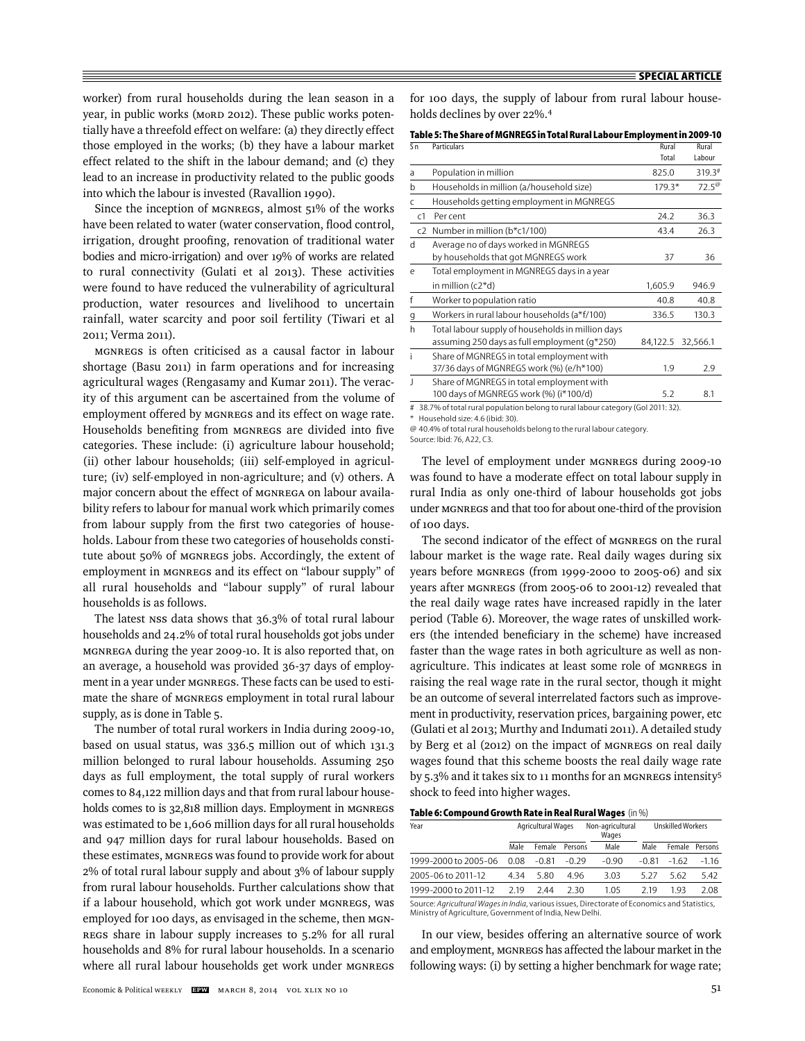worker) from rural households during the lean season in a year, in public works (MoRD 2012). These public works potentially have a threefold effect on welfare: (a) they directly effect those employed in the works; (b) they have a labour market effect related to the shift in the labour demand; and (c) they lead to an increase in productivity related to the public goods into which the labour is invested (Ravallion 1990).

Since the inception of MGNREGS, almost 51% of the works have been related to water (water conservation, flood control, irrigation, drought proofing, renovation of traditional water bodies and micro-irrigation) and over 19% of works are related to rural connectivity (Gulati et al 2013). These activities were found to have reduced the vulnerability of agricultural production, water resources and livelihood to uncertain rainfall, water scarcity and poor soil fertility (Tiwari et al 2011; Verma 2011).

MGNREGS is often criticised as a causal factor in labour shortage (Basu 2011) in farm operations and for increasing agricultural wages (Rengasamy and Kumar 2011). The veracity of this argument can be ascertained from the volume of employment offered by MGNREGS and its effect on wage rate. Households benefiting from MGNREGS are divided into five categories. These include: (i) agriculture labour household; (ii) other labour households; (iii) self-employed in agriculture; (iv) self-employed in non-agriculture; and (v) others. A major concern about the effect of MGNREGA on labour availability refers to labour for manual work which primarily comes from labour supply from the first two categories of households. Labour from these two categories of households constitute about 50% of MGNREGS jobs. Accordingly, the extent of employment in MGNREGS and its effect on "labour supply" of all rural households and "labour supply" of rural labour households is as follows.

The latest NSS data shows that 36.3% of total rural labour households and 24.2% of total rural households got jobs under MGNREGA during the year 2009-10. It is also reported that, on an average, a household was provided 36-37 days of employment in a year under MGNREGS. These facts can be used to estimate the share of MGNREGS employment in total rural labour supply, as is done in Table 5.

The number of total rural workers in India during 2009-10, based on usual status, was 336.5 million out of which 131.3 million belonged to rural labour households. Assuming 250 days as full employment, the total supply of rural workers comes to 84,122 million days and that from rural labour households comes to is 32,818 million days. Employment in MGNREGS was estimated to be 1,606 million days for all rural households and 947 million days for rural labour households. Based on these estimates, MGNREGS was found to provide work for about 2% of total rural labour supply and about 3% of labour supply from rural labour households. Further calculations show that if a labour household, which got work under MGNREGS, was employed for 100 days, as envisaged in the scheme, then MGN-REGS share in labour supply increases to 5.2% for all rural households and 8% for rural labour households. In a scenario where all rural labour households get work under MGNREGS

for 100 days, the supply of labour from rural labour households declines by over 22%.4

| Table 5: The Share of MGNREGS in Total Rural Labour Employment in 2009-10 |
|---------------------------------------------------------------------------|
|---------------------------------------------------------------------------|

| Sn             | Particulars                                                                                       | Rural<br>Total | Rural<br>Labour |
|----------------|---------------------------------------------------------------------------------------------------|----------------|-----------------|
| a              | Population in million                                                                             | 825.0          | $319.3*$        |
| b              | Households in million (a/household size)                                                          | $179.3*$       | $72.5^{\circ}$  |
| C              | Households getting employment in MGNREGS                                                          |                |                 |
| C <sub>1</sub> | Per cent                                                                                          | 24.2           | 36.3            |
| c2             | Number in million (b*c1/100)                                                                      | 43.4           | 26.3            |
| d              | Average no of days worked in MGNREGS<br>by households that got MGNREGS work                       | 37             | 36              |
| e              | Total employment in MGNREGS days in a year                                                        |                |                 |
|                | in million $(c2 * d)$                                                                             | 1,605.9        | 946.9           |
| f              | Worker to population ratio                                                                        | 40.8           | 40.8            |
| g              | Workers in rural labour households (a*f/100)                                                      | 336.5          | 130.3           |
| h              | Total labour supply of households in million days<br>assuming 250 days as full employment (q*250) | 84,122.5       | 32,566.1        |
| i              | Share of MGNREGS in total employment with<br>37/36 days of MGNREGS work (%) (e/h*100)             | 1.9            | 2.9             |
| $\overline{1}$ | Share of MGNREGS in total employment with<br>100 days of MGNREGS work (%) (i*100/d)               | 5.2            | 8.1             |
| #              | 38.7% of total rural population belong to rural labour category (Gol 2011: 32).                   |                |                 |

\* Household size: 4.6 (ibid: 30).

@ 40.4% of total rural households belong to the rural labour category.

Source: Ibid: 76, A22, C3.

The level of employment under MGNREGS during 2009-10 was found to have a moderate effect on total labour supply in rural India as only one-third of labour households got jobs under MGNREGS and that too for about one-third of the provision of 100 days.

The second indicator of the effect of MGNREGS on the rural labour market is the wage rate. Real daily wages during six years before MGNREGS (from 1999-2000 to 2005-06) and six years after MGNREGS (from 2005-06 to 2001-12) revealed that the real daily wage rates have increased rapidly in the later period (Table 6). Moreover, the wage rates of unskilled workers (the intended beneficiary in the scheme) have increased faster than the wage rates in both agriculture as well as nonagriculture. This indicates at least some role of MGNREGS in raising the real wage rate in the rural sector, though it might be an outcome of several interrelated factors such as improvement in productivity, reservation prices, bargaining power, etc (Gulati et al 2013; Murthy and Indumati 2011). A detailed study by Berg et al (2012) on the impact of MGNREGS on real daily wages found that this scheme boosts the real daily wage rate by  $5.3\%$  and it takes six to 11 months for an MGNREGS intensity<sup>5</sup> shock to feed into higher wages.

#### **Table 6: Compound Growth Rate in Real Rural Wages** (in %)

| Year                                                                                                                                                      | <b>Agricultural Wages</b> |         | Non-agricultural<br>Wages |         | <b>Unskilled Workers</b> |         |         |
|-----------------------------------------------------------------------------------------------------------------------------------------------------------|---------------------------|---------|---------------------------|---------|--------------------------|---------|---------|
|                                                                                                                                                           | Male                      | Female  | Persons                   | Male    | Male                     | Female  | Persons |
| 1999-2000 to 2005-06                                                                                                                                      | 0.08                      | $-0.81$ | $-0.29$                   | $-0.90$ | $-0.81$                  | $-1.62$ | $-1.16$ |
| 2005-06 to 2011-12                                                                                                                                        | 4 34                      | 5.80    | 496                       | 3.03    | 5 27                     | 5.62    | 5.42    |
| 1999-2000 to 2011-12                                                                                                                                      | 2.19                      | 244     | 230                       | 1.05    | 219                      | 193     | 2.08    |
| Source: Agricultural Wages in India, various issues, Directorate of Economics and Statistics,<br>Ministry of Agriculture, Government of India, New Delhi. |                           |         |                           |         |                          |         |         |

In our view, besides offering an alternative source of work and employment, MGNREGS has affected the labour market in the following ways: (i) by setting a higher benchmark for wage rate;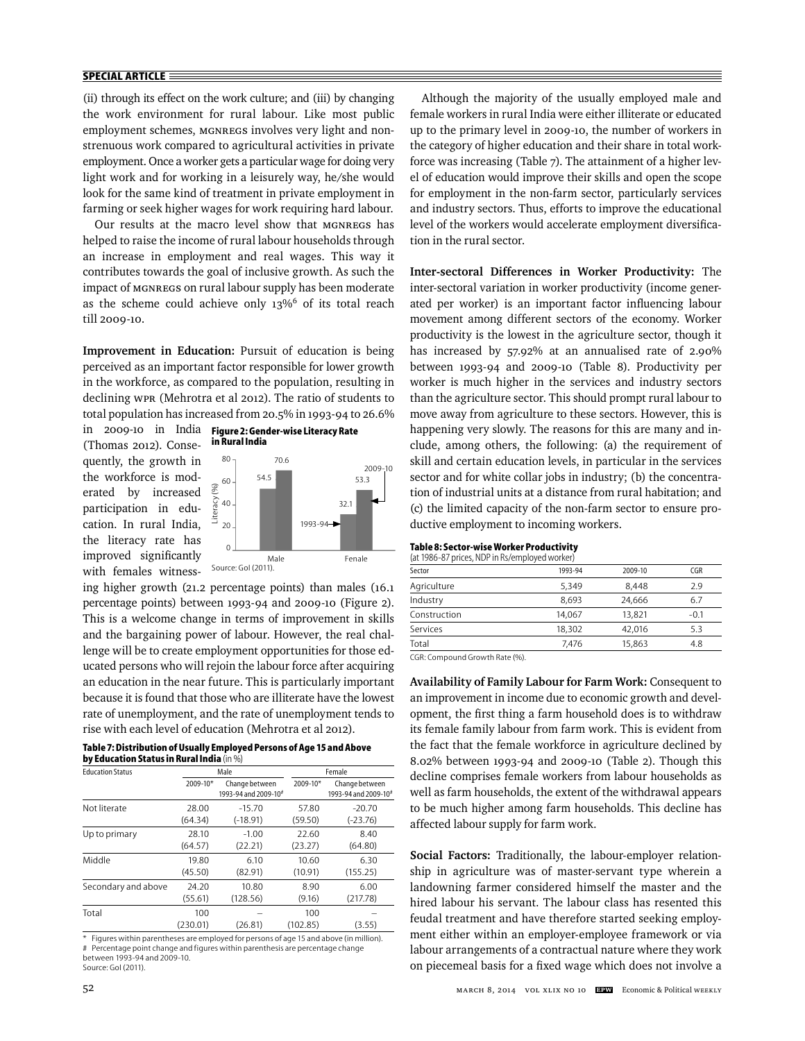## **SPECIAL ARTICLE**

(ii) through its effect on the work culture; and (iii) by changing the work environment for rural labour. Like most public employment schemes, MGNREGS involves very light and nonstrenuous work compared to agricultural activities in private employment. Once a worker gets a particular wage for doing very light work and for working in a leisurely way, he/she would look for the same kind of treatment in private employment in farming or seek higher wages for work requiring hard labour.

Our results at the macro level show that MGNREGS has helped to raise the income of rural labour households through an increase in employment and real wages. This way it contributes towards the goal of inclusive growth. As such the impact of MGNREGS on rural labour supply has been moderate as the scheme could achieve only 13%<sup>6</sup> of its total reach till 2009-10.

**Improvement in Education:** Pursuit of education is being perceived as an important factor responsible for lower growth in the workforce, as compared to the population, resulting in declining WPR (Mehrotra et al 2012). The ratio of students to total population has increased from 20.5% in 1993-94 to 26.6%

**in Rural India**

in 2009-10 in India (Thomas 2012). Consequently, the growth in the workforce is moderated by increased participation in education. In rural India, the literacy rate has improved significantly with females witness-



**Figure 2: Gender-wise Literacy Rate** 

Source: GoI (2011).

ing higher growth (21.2 percentage points) than males (16.1 percentage points) between 1993-94 and 2009-10 (Figure 2). This is a welcome change in terms of improvement in skills and the bargaining power of labour. However, the real challenge will be to create employment opportunities for those educated persons who will rejoin the labour force after acquiring an education in the near future. This is particularly important because it is found that those who are illiterate have the lowest rate of unemployment, and the rate of unemployment tends to rise with each level of education (Mehrotra et al 2012).

#### **Table 7: Distribution of Usually Employed Persons of Age 15 and Above by Education Status in Rural India** (in %)

| <b>Education Status</b> |                 | Male                                               |                 | Female                                             |  |  |
|-------------------------|-----------------|----------------------------------------------------|-----------------|----------------------------------------------------|--|--|
|                         | 2009-10*        | Change between<br>1993-94 and 2009-10 <sup>#</sup> | 2009-10*        | Change between<br>1993-94 and 2009-10 <sup>#</sup> |  |  |
| Not literate            | 28.00           | $-15.70$                                           | 57.80           | $-20.70$                                           |  |  |
|                         | (64.34)         | $(-18.91)$                                         | (59.50)         | $(-23.76)$                                         |  |  |
| Up to primary           | 28.10           | $-1.00$                                            | 22.60           | 8.40                                               |  |  |
|                         | (64.57)         | (22.21)                                            | (23.27)         | (64.80)                                            |  |  |
| Middle                  | 19.80           | 6.10                                               | 10.60           | 6.30                                               |  |  |
|                         | (45.50)         | (82.91)                                            | (10.91)         | (155.25)                                           |  |  |
| Secondary and above     | 24.20           | 10.80                                              | 8.90            | 6.00                                               |  |  |
|                         | (55.61)         | (128.56)                                           | (9.16)          | (217.78)                                           |  |  |
| Total                   | 100<br>(230.01) | (26.81)                                            | 100<br>(102.85) | (3.55)                                             |  |  |

\* Figures within parentheses are employed for persons of age 15 and above (in million). # Percentage point change and figures within parenthesis are percentage change between 1993-94 and 2009-10. Source: GoI (2011).

Although the majority of the usually employed male and female workers in rural India were either illiterate or educated up to the primary level in 2009-10, the number of workers in the category of higher education and their share in total workforce was increasing (Table 7). The attainment of a higher level of education would improve their skills and open the scope for employment in the non-farm sector, particularly services and industry sectors. Thus, efforts to improve the educational level of the workers would accelerate employment diversification in the rural sector.

**Inter-sectoral Differences in Worker Productivity:** The inter-sectoral variation in worker productivity (income generated per worker) is an important factor influencing labour movement among different sectors of the economy. Worker productivity is the lowest in the agriculture sector, though it has increased by 57.92% at an annualised rate of 2.90% between 1993-94 and 2009-10 (Table 8). Productivity per worker is much higher in the services and industry sectors than the agriculture sector. This should prompt rural labour to move away from agriculture to these sectors. However, this is happening very slowly. The reasons for this are many and include, among others, the following: (a) the requirement of skill and certain education levels, in particular in the services sector and for white collar jobs in industry; (b) the concentration of industrial units at a distance from rural habitation; and (c) the limited capacity of the non-farm sector to ensure productive employment to incoming workers.

## **Table 8: Sector-wise Worker Productivity**

| (at 1986-87 prices, NDP in Rs/employed worker) |         |         |        |  |
|------------------------------------------------|---------|---------|--------|--|
| Sector                                         | 1993-94 | 2009-10 | CGR    |  |
| Agriculture                                    | 5,349   | 8,448   | 2.9    |  |
| Industry                                       | 8.693   | 24.666  | 6.7    |  |
| Construction                                   | 14,067  | 13.821  | $-0.1$ |  |
| Services                                       | 18.302  | 42.016  | 5.3    |  |
| Total                                          | 7.476   | 15,863  | 4.8    |  |
|                                                |         |         |        |  |

CGR: Compound Growth Rate (%).

**Availability of Family Labour for Farm Work:** Consequent to an improvement in income due to economic growth and development, the first thing a farm household does is to withdraw its female family labour from farm work. This is evident from the fact that the female workforce in agriculture declined by 8.02% between 1993-94 and 2009-10 (Table 2). Though this decline comprises female workers from labour households as well as farm households, the extent of the withdrawal appears to be much higher among farm households. This decline has affected labour supply for farm work.

**Social Factors:** Traditionally, the labour-employer relationship in agriculture was of master-servant type wherein a landowning farmer considered himself the master and the hired labour his servant. The labour class has resented this feudal treatment and have therefore started seeking employment either within an employer-employee framework or via labour arrangements of a contractual nature where they work on piecemeal basis for a fixed wage which does not involve a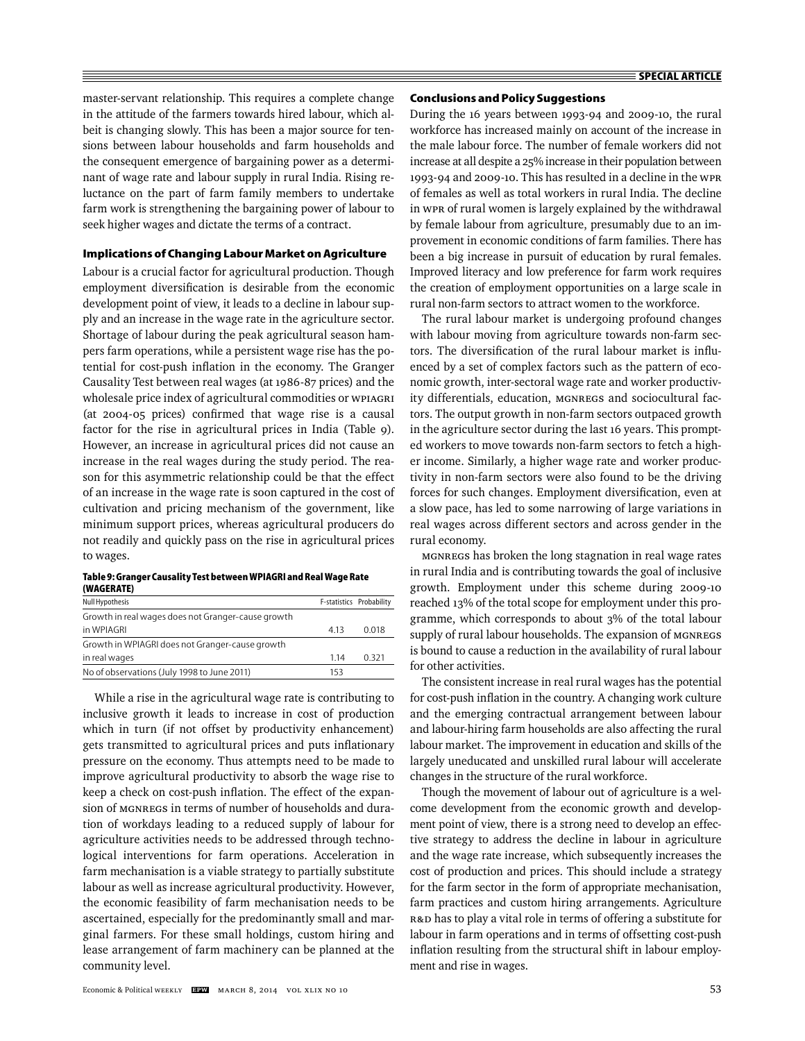master-servant relationship. This requires a complete change in the attitude of the farmers towards hired labour, which albeit is changing slowly. This has been a major source for tensions between labour households and farm households and the consequent emergence of bargaining power as a determinant of wage rate and labour supply in rural India. Rising reluctance on the part of farm family members to undertake farm work is strengthening the bargaining power of labour to seek higher wages and dictate the terms of a contract.

## **Implications of Changing Labour Market on Agriculture**

Labour is a crucial factor for agricultural production. Though employment diversification is desirable from the economic development point of view, it leads to a decline in labour supply and an increase in the wage rate in the agriculture sector. Shortage of labour during the peak agricultural season hampers farm operations, while a persistent wage rise has the potential for cost-push inflation in the economy. The Granger Causality Test between real wages (at 1986-87 prices) and the wholesale price index of agricultural commodities or WPIAGRI (at 2004-05 prices) confirmed that wage rise is a causal factor for the rise in agricultural prices in India (Table 9). However, an increase in agricultural prices did not cause an increase in the real wages during the study period. The reason for this asymmetric relationship could be that the effect of an increase in the wage rate is soon captured in the cost of cultivation and pricing mechanism of the government, like minimum support prices, whereas agricultural producers do not readily and quickly pass on the rise in agricultural prices to wages.

| Table 9: Granger Causality Test between WPIAGRI and Real Wage Rate |  |
|--------------------------------------------------------------------|--|
| (WAGERATE)                                                         |  |

| Null Hypothesis                                    |       | F-statistics Probability |
|----------------------------------------------------|-------|--------------------------|
| Growth in real wages does not Granger-cause growth |       |                          |
| in WPIAGRI                                         | 413   | 0.018                    |
| Growth in WPIAGRI does not Granger-cause growth    |       |                          |
| in real wages                                      | 1 1 4 | 0 3 2 1                  |
| No of observations (July 1998 to June 2011)        | 153   |                          |
|                                                    |       |                          |

While a rise in the agricultural wage rate is contributing to inclusive growth it leads to increase in cost of production which in turn (if not offset by productivity enhancement) gets transmitted to agricultural prices and puts inflationary pressure on the economy. Thus attempts need to be made to improve agricultural productivity to absorb the wage rise to keep a check on cost-push inflation. The effect of the expansion of MGNREGS in terms of number of households and duration of workdays leading to a reduced supply of labour for agriculture activities needs to be addressed through technological interventions for farm operations. Acceleration in farm mechanisation is a viable strategy to partially substitute labour as well as increase agricultural productivity. However, the economic feasibility of farm mechanisation needs to be ascertained, especially for the predominantly small and marginal farmers. For these small holdings, custom hiring and lease arrangement of farm machinery can be planned at the community level.

#### **Conclusions and Policy Suggestions**

During the 16 years between 1993-94 and 2009-10, the rural workforce has increased mainly on account of the increase in the male labour force. The number of female workers did not increase at all despite a 25% increase in their population between 1993-94 and 2009-10. This has resulted in a decline in the WPR of females as well as total workers in rural India. The decline in WPR of rural women is largely explained by the withdrawal by female labour from agriculture, presumably due to an improvement in economic conditions of farm families. There has been a big increase in pursuit of education by rural females. Improved literacy and low preference for farm work requires the creation of employment opportunities on a large scale in rural non-farm sectors to attract women to the workforce.

The rural labour market is undergoing profound changes with labour moving from agriculture towards non-farm sectors. The diversification of the rural labour market is influenced by a set of complex factors such as the pattern of economic growth, inter-sectoral wage rate and worker productivity differentials, education, MGNREGS and sociocultural factors. The output growth in non-farm sectors outpaced growth in the agriculture sector during the last 16 years. This prompted workers to move towards non-farm sectors to fetch a higher income. Similarly, a higher wage rate and worker productivity in non-farm sectors were also found to be the driving forces for such changes. Employment diversification, even at a slow pace, has led to some narrowing of large variations in real wages across different sectors and across gender in the rural economy.

MGNREGS has broken the long stagnation in real wage rates in rural India and is contributing towards the goal of inclusive growth. Employment under this scheme during 2009-10 reached 13% of the total scope for employment under this programme, which corresponds to about 3% of the total labour supply of rural labour households. The expansion of MGNREGS is bound to cause a reduction in the availability of rural labour for other activities.

The consistent increase in real rural wages has the potential for cost-push inflation in the country. A changing work culture and the emerging contractual arrangement between labour and labour-hiring farm households are also affecting the rural labour market. The improvement in education and skills of the largely uneducated and unskilled rural labour will accelerate changes in the structure of the rural workforce.

Though the movement of labour out of agriculture is a welcome development from the economic growth and development point of view, there is a strong need to develop an effective strategy to address the decline in labour in agriculture and the wage rate increase, which subsequently increases the cost of production and prices. This should include a strategy for the farm sector in the form of appropriate mechanisation, farm practices and custom hiring arrangements. Agriculture R&D has to play a vital role in terms of offering a substitute for labour in farm operations and in terms of offsetting cost-push inflation resulting from the structural shift in labour employment and rise in wages.